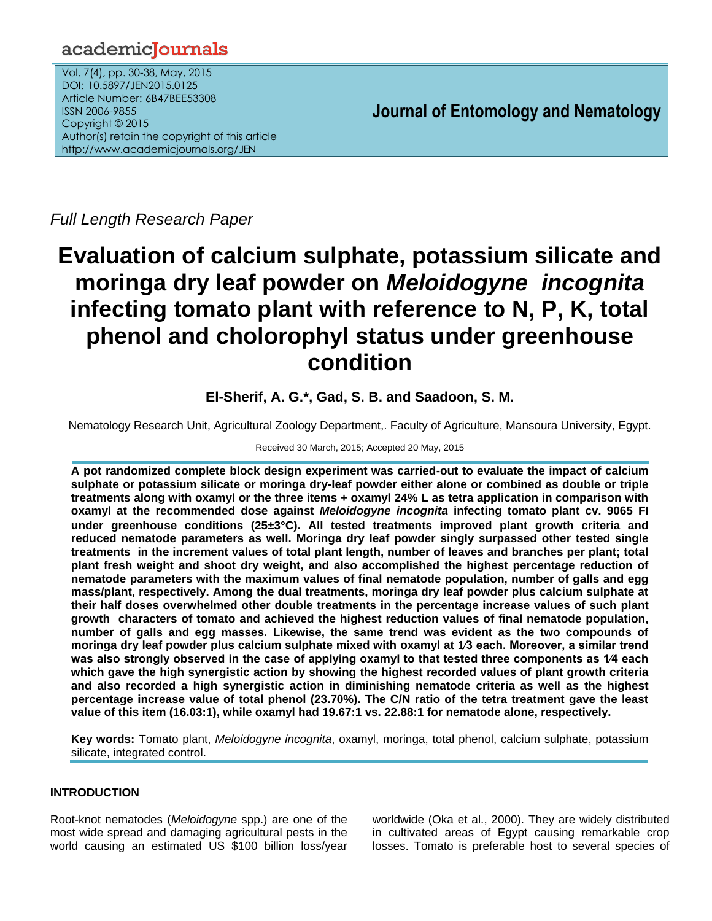# academicJournals

Vol. 7(4), pp. 30-38, May, 2015 DOI: 10.5897/JEN2015.0125 Article Number: 6B47BEE53308 ISSN 2006-9855 Copyright © 2015 Author(s) retain the copyright of this article http://www.academicjournals.org/JEN

**Journal of Entomology and Nematology**

*Full Length Research Paper*

# **Evaluation of calcium sulphate, potassium silicate and moringa dry leaf powder on** *Meloidogyne incognita* **infecting tomato plant with reference to N, P, K, total phenol and cholorophyl status under greenhouse condition**

# **El-Sherif, A. G.\*, Gad, S. B. and Saadoon, S. M.**

Nematology Research Unit, Agricultural Zoology Department,. Faculty of Agriculture, Mansoura University, Egypt.

## Received 30 March, 2015; Accepted 20 May, 2015

**A pot randomized complete block design experiment was carried-out to evaluate the impact of calcium sulphate or potassium silicate or moringa dry-leaf powder either alone or combined as double or triple treatments along with oxamyl or the three items + oxamyl 24% L as tetra application in comparison with oxamyl at the recommended dose against** *Meloidogyne incognita* **infecting tomato plant cv. 9065 FI under greenhouse conditions (25±3C). All tested treatments improved plant growth criteria and reduced nematode parameters as well. Moringa dry leaf powder singly surpassed other tested single treatments in the increment values of total plant length, number of leaves and branches per plant; total plant fresh weight and shoot dry weight, and also accomplished the highest percentage reduction of nematode parameters with the maximum values of final nematode population, number of galls and egg mass/plant, respectively. Among the dual treatments, moringa dry leaf powder plus calcium sulphate at their half doses overwhelmed other double treatments in the percentage increase values of such plant growth characters of tomato and achieved the highest reduction values of final nematode population, number of galls and egg masses. Likewise, the same trend was evident as the two compounds of moringa dry leaf powder plus calcium sulphate mixed with oxamyl at 1∕3 each. Moreover, a similar trend was also strongly observed in the case of applying oxamyl to that tested three components as 1∕4 each which gave the high synergistic action by showing the highest recorded values of plant growth criteria and also recorded a high synergistic action in diminishing nematode criteria as well as the highest percentage increase value of total phenol (23.70%). The C/N ratio of the tetra treatment gave the least value of this item (16.03:1), while oxamyl had 19.67:1 vs. 22.88:1 for nematode alone, respectively.**

**Key words:** Tomato plant, *Meloidogyne incognita*, oxamyl, moringa, total phenol, calcium sulphate, potassium silicate, integrated control.

# **INTRODUCTION**

Root-knot nematodes (*Meloidogyne* spp.) are one of the most wide spread and damaging agricultural pests in the world causing an estimated US \$100 billion loss/year

worldwide (Oka et al., 2000). They are widely distributed in cultivated areas of Egypt causing remarkable crop losses. Tomato is preferable host to several species of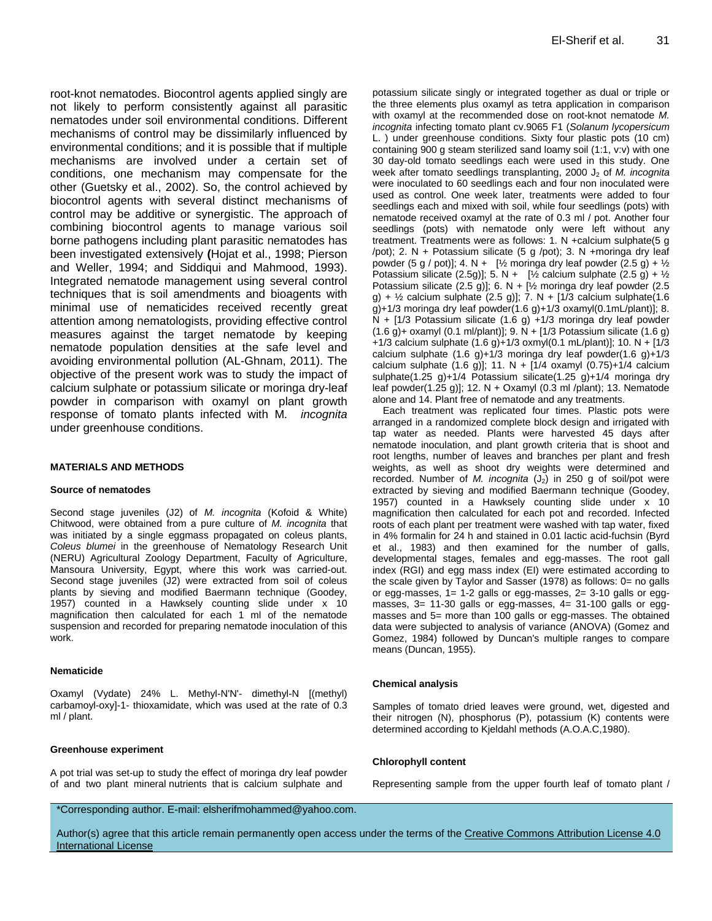root-knot nematodes. Biocontrol agents applied singly are not likely to perform consistently against all parasitic nematodes under soil environmental conditions. Different mechanisms of control may be dissimilarly influenced by environmental conditions; and it is possible that if multiple mechanisms are involved under a certain set of conditions, one mechanism may compensate for the other (Guetsky et al., 2002). So, the control achieved by biocontrol agents with several distinct mechanisms of control may be additive or synergistic. The approach of combining biocontrol agents to manage various soil borne pathogens including plant parasitic nematodes has been investigated extensively **(**Hojat et al., 1998; Pierson and Weller, 1994; and Siddiqui and Mahmood, 1993). Integrated nematode management using several control techniques that is soil amendments and bioagents with minimal use of nematicides received recently great attention among nematologists, providing effective control measures against the target nematode by keeping nematode population densities at the safe level and avoiding environmental pollution (AL-Ghnam, 2011). The objective of the present work was to study the impact of calcium sulphate or potassium silicate or moringa dry-leaf powder in comparison with oxamyl on plant growth response of tomato plants infected with M*. incognita* under greenhouse conditions.

#### **MATERIALS AND METHODS**

#### **Source of nematodes**

Second stage juveniles (J2) of *M. incognita* (Kofoid & White) Chitwood, were obtained from a pure culture of *M. incognita* that was initiated by a single eggmass propagated on coleus plants, *Coleus blumei* in the greenhouse of Nematology Research Unit (NERU) Agricultural Zoology Department, Faculty of Agriculture, Mansoura University, Egypt, where this work was carried-out. Second stage juveniles (J2) were extracted from soil of coleus plants by sieving and modified Baermann technique (Goodey, 1957) counted in a Hawksely counting slide under x 10 magnification then calculated for each 1 ml of the nematode suspension and recorded for preparing nematode inoculation of this work.

#### **Nematicide**

Oxamyl (Vydate) 24% L. Methyl-N'N'- dimethyl-N [(methyl) carbamoyl-oxy]-1- thioxamidate, which was used at the rate of 0.3 ml / plant.

#### **Greenhouse experiment**

A pot trial was set-up to study the effect of moringa dry leaf powder of and two plant mineral nutrients that is calcium sulphate and

\*Corresponding author. E-mail: elsherifmohammed@yahoo.com.

Author(s) agree that this article remain permanently open access under the terms of the Creative Commons Attribution License 4.0 [International License](http://creativecommons.org/licenses/by/4.0/deed.en_US)

potassium silicate singly or integrated together as dual or triple or the three elements plus oxamyl as tetra application in comparison with oxamyl at the recommended dose on root-knot nematode *M. incognita* infecting tomato plant cv.9065 F1 (*Solanum lycopersicum*  L. ) under greenhouse conditions. Sixty four plastic pots (10 cm) containing 900 g steam sterilized sand loamy soil (1:1, v:v) with one 30 day-old tomato seedlings each were used in this study. One week after tomato seedlings transplanting, 2000 J<sub>2</sub> of *M. incognita* were inoculated to 60 seedlings each and four non inoculated were used as control. One week later, treatments were added to four seedlings each and mixed with soil, while four seedlings (pots) with nematode received oxamyl at the rate of 0.3 ml / pot. Another four seedlings (pots) with nematode only were left without any treatment. Treatments were as follows: 1. N +calcium sulphate(5 g /pot); 2. N + Potassium silicate (5 g /pot); 3. N +moringa dry leaf powder (5 g / pot)]; 4. N + [ $\frac{1}{2}$  moringa dry leaf powder (2.5 g) +  $\frac{1}{2}$ Potassium silicate (2.5g)]; 5. N + [ $\frac{1}{2}$  calcium sulphate (2.5 g) +  $\frac{1}{2}$ Potassium silicate (2.5 g)]; 6. N + [½ moringa dry leaf powder (2.5 g) +  $\frac{1}{2}$  calcium sulphate (2.5 g)]; 7. N + [1/3 calcium sulphate(1.6 g)+1/3 moringa dry leaf powder(1.6 g)+1/3 oxamyl(0.1mL/plant)]; 8. N + [1/3 Potassium silicate (1.6 g) +1/3 moringa dry leaf powder (1.6 g)+ oxamyl (0.1 ml/plant)]; 9. N + [1/3 Potassium silicate (1.6 g) +1/3 calcium sulphate (1.6 g)+1/3 oxmyl(0.1 mL/plant)]; 10. N + [1/3 calcium sulphate (1.6 g)+1/3 moringa dry leaf powder(1.6 g)+1/3 calcium sulphate  $(1.6 \text{ g})$ ]; 11. N +  $[1/4 \text{ oxamyl } (0.75)+1/4 \text{ calcium}$ sulphate(1.25 g)+1/4 Potassium silicate(1.25 g)+1/4 moringa dry leaf powder(1.25 g)]; 12. N + Oxamyl (0.3 ml /plant); 13. Nematode alone and 14. Plant free of nematode and any treatments.

Each treatment was replicated four times. Plastic pots were arranged in a randomized complete block design and irrigated with tap water as needed. Plants were harvested 45 days after nematode inoculation, and plant growth criteria that is shoot and root lengths, number of leaves and branches per plant and fresh weights, as well as shoot dry weights were determined and recorded. Number of *M. incognita* (J<sub>2</sub>) in 250 g of soil/pot were extracted by sieving and modified Baermann technique (Goodey, 1957) counted in a Hawksely counting slide under x 10 magnification then calculated for each pot and recorded. Infected roots of each plant per treatment were washed with tap water, fixed in 4% formalin for 24 h and stained in 0.01 lactic acid-fuchsin (Byrd et al., 1983) and then examined for the number of galls, developmental stages, females and egg-masses. The root gall index (RGI) and egg mass index (EI) were estimated according to the scale given by Taylor and Sasser (1978) as follows: 0= no galls or egg-masses, 1= 1-2 galls or egg-masses, 2= 3-10 galls or eggmasses, 3= 11-30 galls or egg-masses, 4= 31-100 galls or eggmasses and 5= more than 100 galls or egg-masses. The obtained data were subjected to analysis of variance (ANOVA) (Gomez and Gomez, 1984) followed by Duncan's multiple ranges to compare means (Duncan, 1955).

#### **Chemical analysis**

Samples of tomato dried leaves were ground, wet, digested and their nitrogen (N), phosphorus (P), potassium (K) contents were determined according to Kjeldahl methods (A.O.A.C,1980).

#### **Chlorophyll content**

Representing sample from the upper fourth leaf of tomato plant /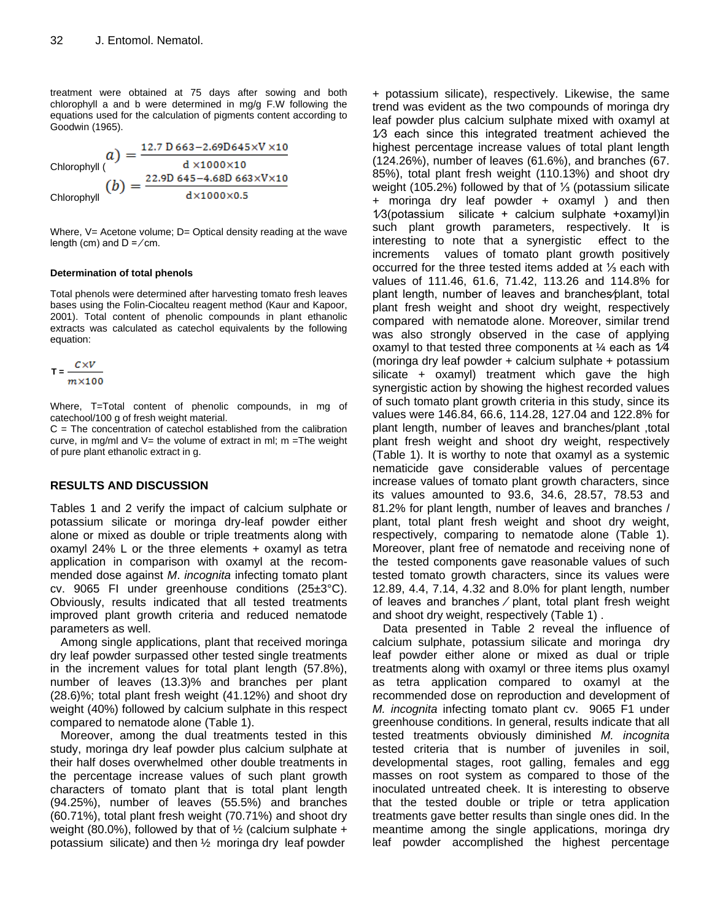treatment were obtained at 75 days after sowing and both chlorophyll a and b were determined in mg/g F.W following the equations used for the calculation of pigments content according to Goodwin (1965).

Chlorophyll (
$$
a
$$
) = 
$$
\frac{12.7 \text{ D } 663 - 2.69 \text{ D } 645 \times \text{V } \times 10}{4 \times 1000 \times 10}
$$

$$
(b) = \frac{22.9 \text{ D } 645 - 4.68 \text{ D } 663 \times \text{V} \times 10}{4 \times 1000 \times 0.5}
$$

Where,  $V=$  Acetone volume;  $D=$  Optical density reading at the wave length (cm) and  $D = / \text{cm}$ .

#### **Determination of total phenols**

Total phenols were determined after harvesting tomato fresh leaves bases using the Folin-Ciocalteu reagent method (Kaur and Kapoor, 2001). Total content of phenolic compounds in plant ethanolic extracts was calculated as catechol equivalents by the following equation:

$$
T = \frac{C \times V}{m \times 100}
$$

Where, T=Total content of phenolic compounds, in mg of catechool/100 g of fresh weight material.

 $C =$  The concentration of catechol established from the calibration curve, in mg/ml and  $V=$  the volume of extract in ml; m = The weight of pure plant ethanolic extract in g.

## **RESULTS AND DISCUSSION**

Tables 1 and 2 verify the impact of calcium sulphate or potassium silicate or moringa dry-leaf powder either alone or mixed as double or triple treatments along with oxamyl 24% L or the three elements + oxamyl as tetra application in comparison with oxamyl at the recommended dose against *M*. *incognita* infecting tomato plant cv. 9065 FI under greenhouse conditions  $(25\pm3^{\circ}C)$ . Obviously, results indicated that all tested treatments improved plant growth criteria and reduced nematode parameters as well.

Among single applications, plant that received moringa dry leaf powder surpassed other tested single treatments in the increment values for total plant length (57.8%), number of leaves (13.3)% and branches per plant (28.6)%; total plant fresh weight (41.12%) and shoot dry weight (40%) followed by calcium sulphate in this respect compared to nematode alone (Table 1).

Moreover, among the dual treatments tested in this study, moringa dry leaf powder plus calcium sulphate at their half doses overwhelmed other double treatments in the percentage increase values of such plant growth characters of tomato plant that is total plant length (94.25%), number of leaves (55.5%) and branches (60.71%), total plant fresh weight (70.71%) and shoot dry weight (80.0%), followed by that of  $\frac{1}{2}$  (calcium sulphate + potassium silicate) and then ½ moringa dry leaf powder

+ potassium silicate), respectively. Likewise, the same trend was evident as the two compounds of moringa dry leaf powder plus calcium sulphate mixed with oxamyl at 1∕3 each since this integrated treatment achieved the highest percentage increase values of total plant length (124.26%), number of leaves (61.6%), and branches (67. 85%), total plant fresh weight (110.13%) and shoot dry weight (105.2%) followed by that of ⅓ (potassium silicate + moringa dry leaf powder + oxamyl ) and then 1∕3(potassium silicate + calcium sulphate +oxamyl)in such plant growth parameters, respectively. It is interesting to note that a synergistic effect to the increments values of tomato plant growth positively occurred for the three tested items added at ⅓ each with values of 111.46, 61.6, 71.42, 113.26 and 114.8% for plant length, number of leaves and branches∕plant, total plant fresh weight and shoot dry weight, respectively compared with nematode alone. Moreover, similar trend was also strongly observed in the case of applying oxamyl to that tested three components at ¼ each as 1∕4 (moringa dry leaf powder + calcium sulphate + potassium silicate + oxamyl) treatment which gave the high synergistic action by showing the highest recorded values of such tomato plant growth criteria in this study, since its values were 146.84, 66.6, 114.28, 127.04 and 122.8% for plant length, number of leaves and branches/plant ,total plant fresh weight and shoot dry weight, respectively (Table 1). It is worthy to note that oxamyl as a systemic nematicide gave considerable values of percentage increase values of tomato plant growth characters, since its values amounted to 93.6, 34.6, 28.57, 78.53 and 81.2% for plant length, number of leaves and branches / plant, total plant fresh weight and shoot dry weight, respectively, comparing to nematode alone (Table 1). Moreover, plant free of nematode and receiving none of the tested components gave reasonable values of such tested tomato growth characters, since its values were 12.89, 4.4, 7.14, 4.32 and 8.0% for plant length, number of leaves and branches ∕ plant, total plant fresh weight and shoot dry weight, respectively (Table 1) .

Data presented in Table 2 reveal the influence of calcium sulphate, potassium silicate and moringa dry leaf powder either alone or mixed as dual or triple treatments along with oxamyl or three items plus oxamyl as tetra application compared to oxamyl at the recommended dose on reproduction and development of *M. incognita* infecting tomato plant cv. 9065 F1 under greenhouse conditions. In general, results indicate that all tested treatments obviously diminished *M. incognita*  tested criteria that is number of juveniles in soil, developmental stages, root galling, females and egg masses on root system as compared to those of the inoculated untreated cheek. It is interesting to observe that the tested double or triple or tetra application treatments gave better results than single ones did. In the meantime among the single applications, moringa dry leaf powder accomplished the highest percentage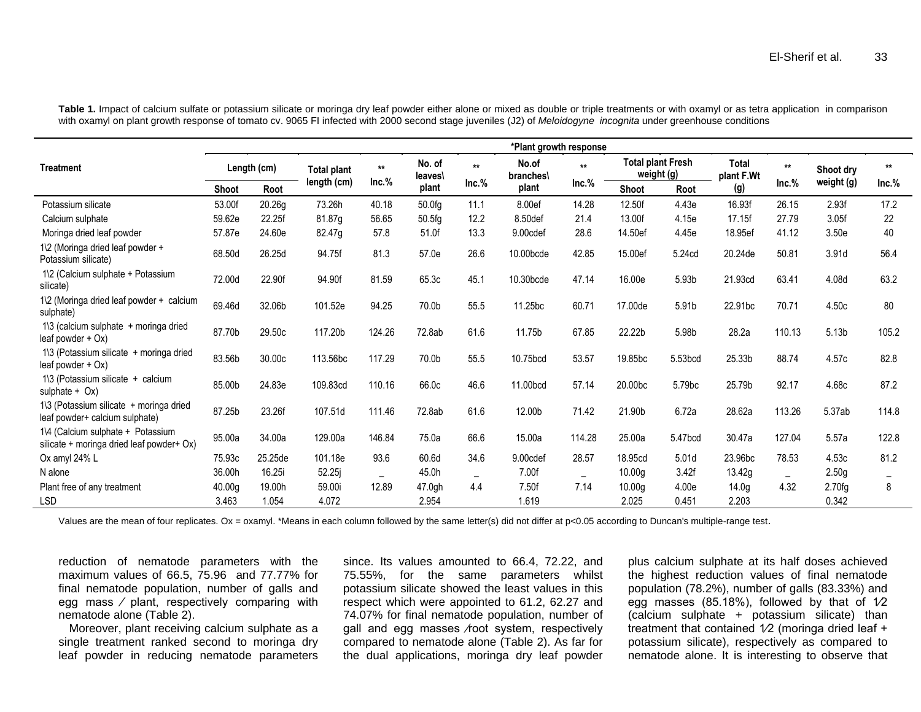**Treatment \*Plant growth response Length (cm) Total plant length (cm) \*\* Inc.% No. of leaves\ plant \*\* Inc.% No.of branches\ plant \*\* Inc.% Total plant Fresh weight (g) Total plant F.Wt (g) \*\* Inc.% Shoot dry weight (g) \*\* Inc.% Inc.% Inc.% Inc.% Inc.% Inc.% Inc.% Inc.% Inc.% <b>Inc.% Shoot Root** (g) Inc.% weight (g) Inc.% Potassium silicate 53.00f 20.26g 73.26h 40.18 50.0fg 11.1 8.00ef 14.28 12.50f 4.43e 16.93f 26.15 2.93f 17.2 Calcium sulphate 59.62e 22.25f 81.87g 56.65 50.5fg 12.2 8.50def 21.4 13.00f 4.15e 17.15f 27.79 3.05f 22 Moringa dried leaf powder 67.87e 24.60e 82.47g 57.8 51.0f 13.3 9.00cdef 28.6 14.50ef 4.45e 18.95ef 41.12 3.50e 40 1\2 (Moringa dried leaf powder + Potassium silicate) 68.50d 26.25d 94.75f 81.3 57.0e 26.6 10.00bcde 42.85 15.00ef 5.24cd 20.24de 50.81 3.91d 56.4 1\2 (Calcium sulphate + Potassium silicate) 72.00d 22.90f 94.90f 81.59 65.3c 45.1 10.30bcde 47.14 16.00e 5.93b 21.93cd 63.41 4.08d 63.2 1\2 (Moringa dried leaf powder + calcium sulphate) 69.46d 32.06b 101.52e 94.25 70.0b 55.5 11.25bc 60.71 17.00de 5.91b 22.91bc 70.71 4.50c <sup>80</sup> 1\3 (calcium sulphate + moringa dried 110 (calcium suiphate moninga uneu 87.70b 29.50c 117.20b 124.26 72.8ab 61.6 11.75b 67.85 22.22b 5.98b 28.2a 110.13 5.13b 105.2<br>leaf powder + Ox) 1\3 (Potassium silicate + moringa dried  $leaf$  powder  $+$  Ox) 83.56b 30.00c 113.56bc 117.29 70.0b 55.5 10.75bcd 53.57 19.85bc 5.53bcd 25.33b 88.74 4.57c 82.8 1\3 (Potassium silicate + calcium sulphate  $+$  Ox) 85.00b 24.83e 109.83cd 110.16 66.0c 46.6 11.00bcd 57.14 20.00bc 5.79bc 25.79b 92.17 4.68c 87.2 1\3 (Potassium silicate + moringa dried leaf powder+ calcium sulphate) 87.25b 23.26f 107.51d 111.46 72.8ab 61.6 12.00b 71.42 21.90b 6.72a 28.62a 113.26 5.37ab 114.8 1\4 (Calcium sulphate + Potassium 114 (Calcium sulphate + Potassium composition of 34.00a 129.00a 146.84 75.0a 66.6 15.00a 114.28 25.00a 5.47bcd 30.47a 127.04 5.57a 122.8 122.8 Ox amyl 24% L 75.93c 25.25de 101.18e 93.6 60.6d 34.6 9.00cdef 28.57 18.95cd 5.01d 23.96bc 78.53 4.53c 81.2 N alone 36.00h 16.25i 52.25j \_ 45.0h \_ 7.00f \_ 10.00g 3.42f 13.42g \_ 2.50g \_ Plant free of any treatment 40.00g 19.00h 59.00i 12.89 47.0gh 4.4 7.50f 7.14 10.00g 4.00e 14.0g 4.32 2.70fg 8 LSD 3.463 1.054 4.072 2.954 1.619 2.025 0.451 2.203 0.342

Table 1. Impact of calcium sulfate or potassium silicate or moringa dry leaf powder either alone or mixed as double or triple treatments or with oxamyl or as tetra application in comparison with oxamyl on plant growth response of tomato cv. 9065 FI infected with 2000 second stage juveniles (J2) of *Meloidogyne incognita* under greenhouse conditions

Values are the mean of four replicates. Ox = oxamyl. \*Means in each column followed by the same letter(s) did not differ at p<0.05 according to Duncan's multiple-range test.

reduction of nematode parameters with the maximum values of 66.5, 75.96 and 77.77% for final nematode population, number of galls and egg mass ∕ plant, respectively comparing with nematode alone (Table 2).

Moreover, plant receiving calcium sulphate as a single treatment ranked second to moringa dry leaf powder in reducing nematode parameters

since. Its values amounted to 66.4, 72.22, and 75.55%, for the same parameters whilst potassium silicate showed the least values in this respect which were appointed to 61.2, 62.27 and 74.07% for final nematode population, number of gall and egg masses ∕root system, respectively compared to nematode alone (Table 2). As far for the dual applications, moringa dry leaf powder

plus calcium sulphate at its half doses achieved the highest reduction values of final nematode population (78.2%), number of galls (83.33%) and egg masses (85.18%), followed by that of 1∕2  $(calcium sulplate + potassium silicate) than$ treatment that contained 1∕2 (moringa dried leaf + potassium silicate), respectively as compared to nematode alone. It is interesting to observe that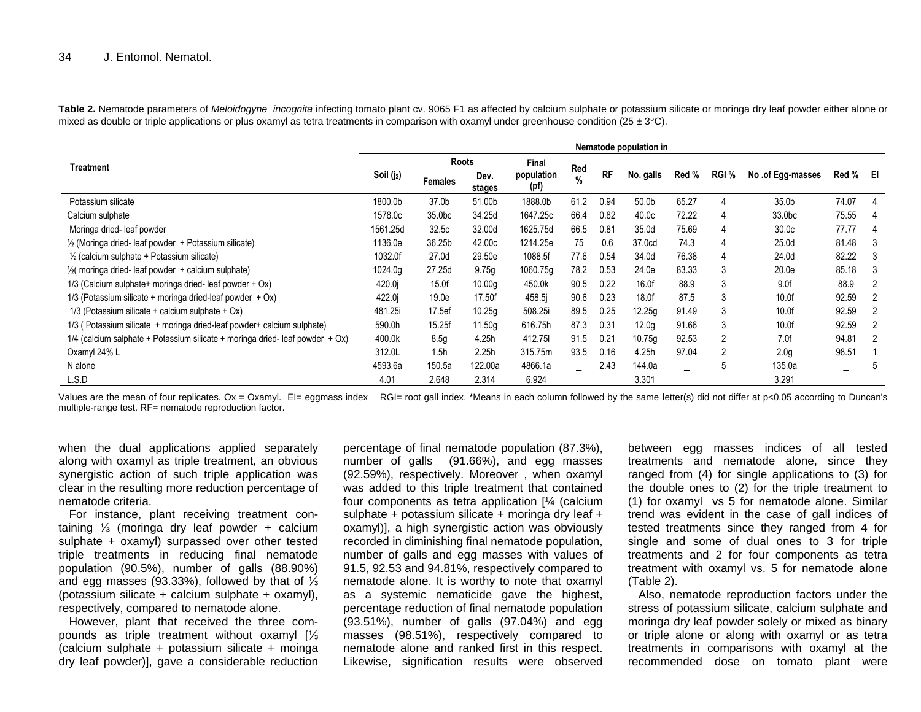Table 2. Nematode parameters of *Meloidogyne incognita* infecting tomato plant cv. 9065 F1 as affected by calcium sulphate or potassium silicate or moringa dry leaf powder either alone or mixed as double or triple applications or plus oxamyl as tetra treatments in comparison with oxamyl under greenhouse condition (25  $\pm$  3°C).

|                                                                                | Nematode population in |                   |                    |                    |             |           |                   |       |       |                    |       |                |
|--------------------------------------------------------------------------------|------------------------|-------------------|--------------------|--------------------|-------------|-----------|-------------------|-------|-------|--------------------|-------|----------------|
| <b>Treatment</b>                                                               |                        | <b>Roots</b>      |                    | Final              |             |           |                   |       |       |                    |       |                |
|                                                                                | Soil (j2)              | <b>Females</b>    | Dev.<br>stages     | population<br>(pf) | Red<br>$\%$ | <b>RF</b> | No. galls         | Red % | RGI % | No .of Egg-masses  | Red % | EI             |
| Potassium silicate                                                             | 1800.0b                | 37.0b             | 51.00b             | 1888.0b            | 61.2        | 0.94      | 50.0b             | 65.27 |       | 35.0 <sub>b</sub>  | 74.07 |                |
| Calcium sulphate                                                               | 1578.0c                | 35.0bc            | 34.25d             | 1647.25c           | 66.4        | 0.82      | 40.0 <sub>c</sub> | 72.22 | 4     | 33.0 <sub>bc</sub> | 75.55 | -4             |
| Moringa dried-leaf powder                                                      | 1561.25d               | 32.5c             | 32.00d             | 1625.75d           | 66.5        | 0.81      | 35.0d             | 75.69 | 4     | 30.0 <sub>c</sub>  | 77.77 | 4              |
| $\frac{1}{2}$ (Moringa dried-leaf powder + Potassium silicate)                 | 1136.0e                | 36.25b            | 42.00c             | 1214.25e           | 75          | 0.6       | 37.0cd            | 74.3  | 4     | 25.0d              | 81.48 | - 3            |
| $\frac{1}{2}$ (calcium sulphate + Potassium silicate)                          | 1032.0f                | 27.0 <sub>d</sub> | 29.50e             | 1088.5f            | 77.6        | 0.54      | 34.0d             | 76.38 | 4     | 24.0d              | 82.22 | - 3            |
| $\frac{1}{2}$ moringa dried-leaf powder + calcium sulphate)                    | 1024.0g                | 27.25d            | 9.75g              | 1060.75g           | 78.2        | 0.53      | 24.0e             | 83.33 | 3     | 20.0e              | 85.18 | -3             |
| $1/3$ (Calcium sulphate+ moringa dried-leaf powder + Ox)                       | 420.0i                 | 15.0f             | 10.00 <sub>g</sub> | 450.0k             | 90.5        | 0.22      | 16.0f             | 88.9  | 3     | 9.0f               | 88.9  | $\overline{2}$ |
| $1/3$ (Potassium silicate + moringa dried-leaf powder + Ox)                    | 422.0j                 | 19.0e             | 17.50f             | 458.5j             | 90.6        | 0.23      | 18.0f             | 87.5  | 3     | 10.0 <sub>f</sub>  | 92.59 | -2             |
| $1/3$ (Potassium silicate + calcium sulphate + Ox)                             | 481.25i                | 17.5ef            | 10.25q             | 508.25i            | 89.5        | 0.25      | 12.25g            | 91.49 | 3     | 10.0 <sub>f</sub>  | 92.59 | -2             |
| $1/3$ (Potassium silicate + moringa dried-leaf powder+ calcium sulphate)       | 590.0h                 | 15.25f            | 11.50q             | 616.75h            | 87.3        | 0.31      | 12.0 <sub>q</sub> | 91.66 | 3     | 10.0 <sub>f</sub>  | 92.59 | -2             |
| $1/4$ (calcium salphate + Potassium silicate + moringa dried-leaf powder + Ox) | 400.0k                 | 8.5g              | 4.25h              | 412.75             | 91.5        | 0.21      | 10.75q            | 92.53 | 2     | 7.0f               | 94.81 | - 2            |
| Oxamyl 24% L                                                                   | 312.0L                 | 1.5 <sub>h</sub>  | 2.25h              | 315.75m            | 93.5        | 0.16      | 4.25h             | 97.04 | 2     | 2.0 <sub>q</sub>   | 98.51 |                |
| N alone                                                                        | 4593.6a                | 150.5a            | 122.00a            | 4866.1a            |             | 2.43      | 144.0a            |       | 5     | 135.0a             |       | ა              |
| L.S.D                                                                          | 4.01                   | 2.648             | 2.314              | 6.924              |             |           | 3.301             |       |       | 3.291              |       |                |

Values are the mean of four replicates. Ox = Oxamyl. EI= eggmass index RGI= root gall index. \*Means in each column followed by the same letter(s) did not differ at p<0.05 according to Duncan's multiple-range test. RF= nematode reproduction factor.

when the dual applications applied separately along with oxamyl as triple treatment, an obvious synergistic action of such triple application was clear in the resulting more reduction percentage of nematode criteria.

For instance, plant receiving treatment containing ⅓ (moringa dry leaf powder + calcium sulphate + oxamyl) surpassed over other tested triple treatments in reducing final nematode population (90.5%), number of galls (88.90%) and egg masses (93.33%), followed by that of ⅓ (potassium silicate + calcium sulphate + oxamyl), respectively, compared to nematode alone.

However, plant that received the three compounds as triple treatment without oxamyl [⅓ (calcium sulphate + potassium silicate + moinga dry leaf powder)], gave a considerable reduction

percentage of final nematode population (87.3%), number of galls (91.66%), and egg masses (92.59%), respectively. Moreover , when oxamyl was added to this triple treatment that contained four components as tetra application [¼ (calcium sulphate + potassium silicate + moringa dry leaf + oxamyl)], a high synergistic action was obviously recorded in diminishing final nematode population, number of galls and egg masses with values of 91.5, 92.53 and 94.81%, respectively compared to nematode alone. It is worthy to note that oxamyl as a systemic nematicide gave the highest, percentage reduction of final nematode population (93.51%), number of galls (97.04%) and egg masses (98.51%), respectively compared to nematode alone and ranked first in this respect. Likewise, signification results were observed between egg masses indices of all tested treatments and nematode alone, since they ranged from (4) for single applications to (3) for the double ones to (2) for the triple treatment to (1) for oxamyl vs 5 for nematode alone. Similar trend was evident in the case of gall indices of tested treatments since they ranged from 4 for single and some of dual ones to 3 for triple treatments and 2 for four components as tetra treatment with oxamyl vs. 5 for nematode alone (Table 2).

Also, nematode reproduction factors under the stress of potassium silicate, calcium sulphate and moringa dry leaf powder solely or mixed as binary or triple alone or along with oxamyl or as tetra treatments in comparisons with oxamyl at the recommended dose on tomato plant were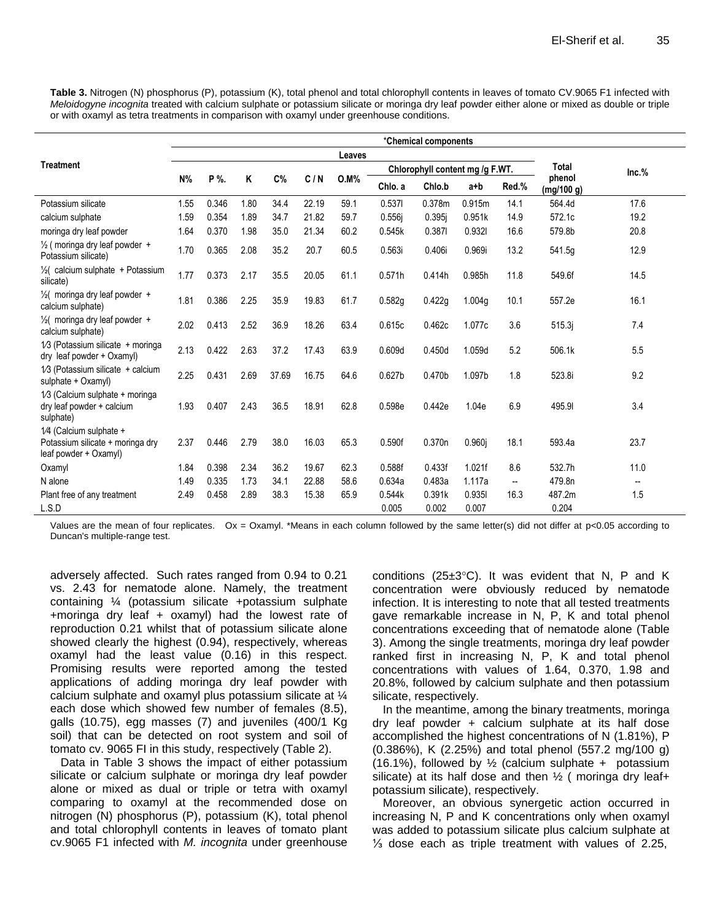**Table 3.** Nitrogen (N) phosphorus (P), potassium (K), total phenol and total chlorophyll contents in leaves of tomato CV.9065 F1 infected with *Meloidogyne incognita* treated with calcium sulphate or potassium silicate or moringa dry leaf powder either alone or mixed as double or triple or with oxamyl as tetra treatments in comparison with oxamyl under greenhouse conditions.

|                                                                                      | *Chemical components |       |      |       |       |         |         |                                 |                    |                          |                      |                          |
|--------------------------------------------------------------------------------------|----------------------|-------|------|-------|-------|---------|---------|---------------------------------|--------------------|--------------------------|----------------------|--------------------------|
|                                                                                      |                      |       |      |       |       | Leaves  |         |                                 |                    |                          |                      |                          |
| <b>Treatment</b>                                                                     |                      |       |      |       |       |         |         | Chlorophyll content mg /g F.WT. |                    | Total                    | Inc.%                |                          |
|                                                                                      | $N\%$                | P%.   | Κ    | C%    | C/N   | $O.M\%$ | Chlo. a | Chlo.b                          | a+b                | Red.%                    | phenol<br>(mg/100 g) |                          |
| Potassium silicate                                                                   | 1.55                 | 0.346 | 1.80 | 34.4  | 22.19 | 59.1    | 0.5371  | 0.378m                          | 0.915m             | 14.1                     | 564.4d               | 17.6                     |
| calcium sulphate                                                                     | 1.59                 | 0.354 | 1.89 | 34.7  | 21.82 | 59.7    | 0.556j  | 0.395j                          | 0.951k             | 14.9                     | 572.1c               | 19.2                     |
| moringa dry leaf powder                                                              | 1.64                 | 0.370 | 1.98 | 35.0  | 21.34 | 60.2    | 0.545k  | 0.3871                          | 0.9321             | 16.6                     | 579.8b               | 20.8                     |
| $\frac{1}{2}$ (moringa dry leaf powder +<br>Potassium silicate)                      | 1.70                 | 0.365 | 2.08 | 35.2  | 20.7  | 60.5    | 0.563i  | 0.406i                          | 0.969i             | 13.2                     | 541.5g               | 12.9                     |
| $\frac{1}{2}$ calcium sulphate + Potassium<br>silicate)                              | 1.77                 | 0.373 | 2.17 | 35.5  | 20.05 | 61.1    | 0.571h  | 0.414h                          | 0.985h             | 11.8                     | 549.6f               | 14.5                     |
| $\frac{1}{2}$ moringa dry leaf powder +<br>calcium sulphate)                         | 1.81                 | 0.386 | 2.25 | 35.9  | 19.83 | 61.7    | 0.582g  | 0.422g                          | 1.004g             | 10.1                     | 557.2e               | 16.1                     |
| $\frac{1}{2}$ moringa dry leaf powder +<br>calcium sulphate)                         | 2.02                 | 0.413 | 2.52 | 36.9  | 18.26 | 63.4    | 0.615c  | 0.462c                          | 1.077c             | 3.6                      | 515.3j               | 7.4                      |
| $1/3$ (Potassium silicate + moringa<br>dry leaf powder + Oxamyl)                     | 2.13                 | 0.422 | 2.63 | 37.2  | 17.43 | 63.9    | 0.609d  | 0.450d                          | 1.059d             | 5.2                      | 506.1k               | 5.5                      |
| $1/3$ (Potassium silicate + calcium<br>sulphate + Oxamyl)                            | 2.25                 | 0.431 | 2.69 | 37.69 | 16.75 | 64.6    | 0.627b  | 0.470b                          | 1.097b             | 1.8                      | 523.8i               | 9.2                      |
| 1/3 (Calcium sulphate + moringa<br>dry leaf powder + calcium<br>sulphate)            | 1.93                 | 0.407 | 2.43 | 36.5  | 18.91 | 62.8    | 0.598e  | 0.442e                          | 1.04e              | 6.9                      | 495.91               | 3.4                      |
| 1/4 (Calcium sulphate +<br>Potassium silicate + moringa dry<br>leaf powder + Oxamyl) | 2.37                 | 0.446 | 2.79 | 38.0  | 16.03 | 65.3    | 0.590f  | 0.370n                          | 0.960 <sub>i</sub> | 18.1                     | 593.4a               | 23.7                     |
| Oxamyl                                                                               | 1.84                 | 0.398 | 2.34 | 36.2  | 19.67 | 62.3    | 0.588f  | 0.433f                          | 1.021f             | 8.6                      | 532.7h               | 11.0                     |
| N alone                                                                              | 1.49                 | 0.335 | 1.73 | 34.1  | 22.88 | 58.6    | 0.634a  | 0.483a                          | 1.117a             | $\overline{\phantom{a}}$ | 479.8n               | $\overline{\phantom{a}}$ |
| Plant free of any treatment                                                          | 2.49                 | 0.458 | 2.89 | 38.3  | 15.38 | 65.9    | 0.544k  | 0.391k                          | 0.9351             | 16.3                     | 487.2m               | 1.5                      |
| L.S.D                                                                                |                      |       |      |       |       |         | 0.005   | 0.002                           | 0.007              |                          | 0.204                |                          |

Values are the mean of four replicates.  $Ox = Oxamyl$ . \*Means in each column followed by the same letter(s) did not differ at  $p<0.05$  according to Duncan's multiple-range test.

adversely affected. Such rates ranged from 0.94 to 0.21 vs. 2.43 for nematode alone. Namely, the treatment containing ¼ (potassium silicate +potassium sulphate +moringa dry leaf + oxamyl) had the lowest rate of reproduction 0.21 whilst that of potassium silicate alone showed clearly the highest (0.94), respectively, whereas oxamyl had the least value (0.16) in this respect. Promising results were reported among the tested applications of adding moringa dry leaf powder with calcium sulphate and oxamyl plus potassium silicate at ¼ each dose which showed few number of females (8.5), galls (10.75), egg masses (7) and juveniles (400/1 Kg soil) that can be detected on root system and soil of tomato cv. 9065 FI in this study, respectively (Table 2).

Data in Table 3 shows the impact of either potassium silicate or calcium sulphate or moringa dry leaf powder alone or mixed as dual or triple or tetra with oxamyl comparing to oxamyl at the recommended dose on nitrogen (N) phosphorus (P), potassium (K), total phenol and total chlorophyll contents in leaves of tomato plant cv.9065 F1 infected with *M. incognita* under greenhouse conditions ( $25\pm3^{\circ}$ C). It was evident that N, P and K concentration were obviously reduced by nematode infection. It is interesting to note that all tested treatments gave remarkable increase in N, P, K and total phenol concentrations exceeding that of nematode alone (Table 3). Among the single treatments, moringa dry leaf powder ranked first in increasing N, P, K and total phenol concentrations with values of 1.64, 0.370, 1.98 and 20.8%, followed by calcium sulphate and then potassium silicate, respectively.

In the meantime, among the binary treatments, moringa dry leaf powder + calcium sulphate at its half dose accomplished the highest concentrations of N (1.81%), P (0.386%), K (2.25%) and total phenol (557.2 mg/100 g)  $(16.1\%)$ , followed by  $\frac{1}{2}$  (calcium sulphate + potassium silicate) at its half dose and then  $\frac{1}{2}$  (moringa dry leaf+ potassium silicate), respectively.

Moreover, an obvious synergetic action occurred in increasing N, P and K concentrations only when oxamyl was added to potassium silicate plus calcium sulphate at ⅓ dose each as triple treatment with values of 2.25,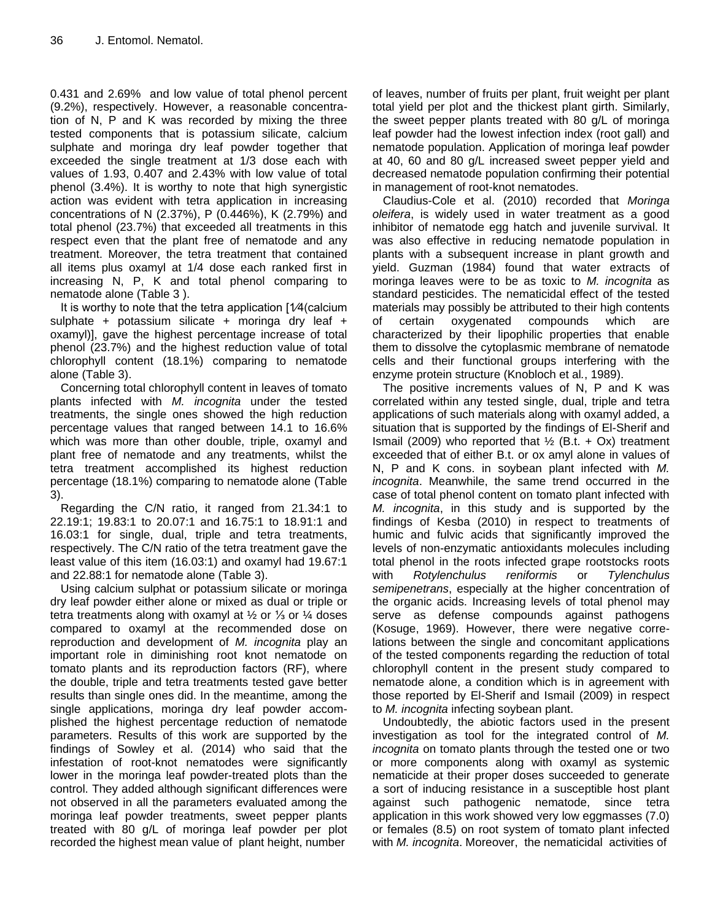0.431 and 2.69% and low value of total phenol percent (9.2%), respectively. However, a reasonable concentration of N, P and K was recorded by mixing the three tested components that is potassium silicate, calcium sulphate and moringa dry leaf powder together that exceeded the single treatment at 1/3 dose each with values of 1.93, 0.407 and 2.43% with low value of total phenol (3.4%). It is worthy to note that high synergistic action was evident with tetra application in increasing concentrations of N (2.37%), P (0.446%), K (2.79%) and total phenol (23.7%) that exceeded all treatments in this respect even that the plant free of nematode and any treatment. Moreover, the tetra treatment that contained all items plus oxamyl at 1/4 dose each ranked first in increasing N, P, K and total phenol comparing to nematode alone (Table 3 ).

It is worthy to note that the tetra application [1∕4(calcium sulphate + potassium silicate + moringa dry leaf + oxamyl)], gave the highest percentage increase of total phenol (23.7%) and the highest reduction value of total chlorophyll content (18.1%) comparing to nematode alone (Table 3).

Concerning total chlorophyll content in leaves of tomato plants infected with *M. incognita* under the tested treatments, the single ones showed the high reduction percentage values that ranged between 14.1 to 16.6% which was more than other double, triple, oxamyl and plant free of nematode and any treatments, whilst the tetra treatment accomplished its highest reduction percentage (18.1%) comparing to nematode alone (Table 3).

Regarding the C/N ratio, it ranged from 21.34:1 to 22.19:1; 19.83:1 to 20.07:1 and 16.75:1 to 18.91:1 and 16.03:1 for single, dual, triple and tetra treatments, respectively. The C/N ratio of the tetra treatment gave the least value of this item (16.03:1) and oxamyl had 19.67:1 and 22.88:1 for nematode alone (Table 3).

Using calcium sulphat or potassium silicate or moringa dry leaf powder either alone or mixed as dual or triple or tetra treatments along with oxamyl at ½ or ⅓ or ¼ doses compared to oxamyl at the recommended dose on reproduction and development of *M. incognita* play an important role in diminishing root knot nematode on tomato plants and its reproduction factors (RF), where the double, triple and tetra treatments tested gave better results than single ones did. In the meantime, among the single applications, moringa dry leaf powder accomplished the highest percentage reduction of nematode parameters. Results of this work are supported by the findings of Sowley et al. (2014) who said that the infestation of root-knot nematodes were significantly lower in the moringa leaf powder-treated plots than the control. They added although significant differences were not observed in all the parameters evaluated among the moringa leaf powder treatments, sweet pepper plants treated with 80 g/L of moringa leaf powder per plot recorded the highest mean value of plant height, number

of leaves, number of fruits per plant, fruit weight per plant total yield per plot and the thickest plant girth. Similarly, the sweet pepper plants treated with 80 g/L of moringa leaf powder had the lowest infection index (root gall) and nematode population. Application of moringa leaf powder at 40, 60 and 80 g/L increased sweet pepper yield and decreased nematode population confirming their potential in management of root-knot nematodes.

Claudius-Cole et al. (2010) recorded that *Moringa oleifera*, is widely used in water treatment as a good inhibitor of nematode egg hatch and juvenile survival. It was also effective in reducing nematode population in plants with a subsequent increase in plant growth and yield. Guzman (1984) found that water extracts of moringa leaves were to be as toxic to *M. incognita* as standard pesticides. The nematicidal effect of the tested materials may possibly be attributed to their high contents of certain oxygenated compounds which are characterized by their lipophilic properties that enable them to dissolve the cytoplasmic membrane of nematode cells and their functional groups interfering with the enzyme protein structure (Knobloch et al*.*, 1989).

The positive increments values of N, P and K was correlated within any tested single, dual, triple and tetra applications of such materials along with oxamyl added, a situation that is supported by the findings of El-Sherif and Ismail (2009) who reported that  $\frac{1}{2}$  (B.t. + Ox) treatment exceeded that of either B.t. or ox amyl alone in values of N, P and K cons. in soybean plant infected with *M. incognita*. Meanwhile, the same trend occurred in the case of total phenol content on tomato plant infected with *M. incognita*, in this study and is supported by the findings of Kesba (2010) in respect to treatments of humic and fulvic acids that significantly improved the levels of non-enzymatic antioxidants molecules including total phenol in the roots infected grape rootstocks roots with *Rotylenchulus reniformis* or *Tylenchulus semipenetrans*, especially at the higher concentration of the organic acids. Increasing levels of total phenol may serve as defense compounds against pathogens (Kosuge, 1969). However, there were negative correlations between the single and concomitant applications of the tested components regarding the reduction of total chlorophyll content in the present study compared to nematode alone, a condition which is in agreement with those reported by El-Sherif and Ismail (2009) in respect to *M. incognita* infecting soybean plant.

Undoubtedly, the abiotic factors used in the present investigation as tool for the integrated control of *M. incognita* on tomato plants through the tested one or two or more components along with oxamyl as systemic nematicide at their proper doses succeeded to generate a sort of inducing resistance in a susceptible host plant against such pathogenic nematode, since tetra application in this work showed very low eggmasses (7.0) or females (8.5) on root system of tomato plant infected with *M. incognita*. Moreover, the nematicidal activities of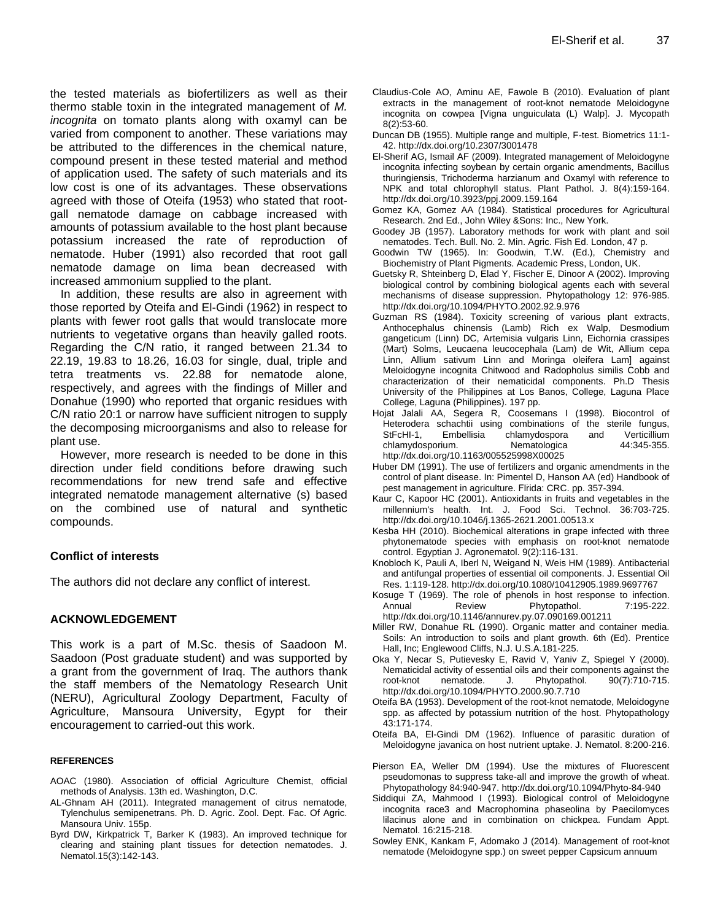the tested materials as biofertilizers as well as their thermo stable toxin in the integrated management of *M. incognita* on tomato plants along with oxamyl can be varied from component to another. These variations may be attributed to the differences in the chemical nature, compound present in these tested material and method of application used. The safety of such materials and its low cost is one of its advantages. These observations agreed with those of Oteifa (1953) who stated that rootgall nematode damage on cabbage increased with amounts of potassium available to the host plant because potassium increased the rate of reproduction of nematode. Huber (1991) also recorded that root gall nematode damage on lima bean decreased with increased ammonium supplied to the plant.

In addition, these results are also in agreement with those reported by Oteifa and El-Gindi (1962) in respect to plants with fewer root galls that would translocate more nutrients to vegetative organs than heavily galled roots. Regarding the C/N ratio, it ranged between 21.34 to 22.19, 19.83 to 18.26, 16.03 for single, dual, triple and tetra treatments vs. 22.88 for nematode alone, respectively, and agrees with the findings of Miller and Donahue (1990) who reported that organic residues with C/N ratio 20:1 or narrow have sufficient nitrogen to supply the decomposing microorganisms and also to release for plant use.

However, more research is needed to be done in this direction under field conditions before drawing such recommendations for new trend safe and effective integrated nematode management alternative (s) based on the combined use of natural and synthetic compounds.

## **Conflict of interests**

The authors did not declare any conflict of interest.

#### **ACKNOWLEDGEMENT**

This work is a part of M.Sc. thesis of Saadoon M. Saadoon (Post graduate student) and was supported by a grant from the government of Iraq. The authors thank the staff members of the Nematology Research Unit (NERU), Agricultural Zoology Department, Faculty of Agriculture, Mansoura University, Egypt for their encouragement to carried-out this work.

#### **REFERENCES**

- AOAC (1980). Association of official Agriculture Chemist, official methods of Analysis. 13th ed. Washington, D.C.
- AL-Ghnam AH (2011). Integrated management of citrus nematode, Tylenchulus semipenetrans. Ph. D. Agric. Zool. Dept. Fac. Of Agric. Mansoura Univ. 155p.
- Byrd DW, Kirkpatrick T, Barker K (1983). An improved technique for clearing and staining plant tissues for detection nematodes. J. Nematol.15(3):142-143.
- Claudius-Cole AO, Aminu AE, Fawole B (2010). Evaluation of plant extracts in the management of root-knot nematode Meloidogyne incognita on cowpea [Vigna unguiculata (L) Walp]. J. Mycopath 8(2):53-60.
- Duncan DB (1955). Multiple range and multiple, F-test. Biometrics 11:1- 42. http://dx.doi.org/10.2307/3001478
- El-Sherif AG, Ismail AF (2009). Integrated management of Meloidogyne incognita infecting soybean by certain organic amendments, Bacillus thuringiensis, Trichoderma harzianum and Oxamyl with reference to NPK and total chlorophyll status. Plant Pathol. J. 8(4):159-164. http://dx.doi.org/10.3923/ppj.2009.159.164
- Gomez KA, Gomez AA (1984). Statistical procedures for Agricultural Research. 2nd Ed., John Wiley &Sons: Inc., New York.
- Goodey JB (1957). Laboratory methods for work with plant and soil nematodes. Tech. Bull. No. 2. Min. Agric. Fish Ed. London, 47 p.
- Goodwin TW (1965). In: Goodwin, T.W. (Ed.), Chemistry and Biochemistry of Plant Pigments. Academic Press, London, UK.
- Guetsky R, Shteinberg D, Elad Y, Fischer E, Dinoor A (2002). Improving biological control by combining biological agents each with several mechanisms of disease suppression. Phytopathology 12: 976-985. http://dx.doi.org/10.1094/PHYTO.2002.92.9.976
- Guzman RS (1984). Toxicity screening of various plant extracts, Anthocephalus chinensis (Lamb) Rich ex Walp, Desmodium gangeticum (Linn) DC, Artemisia vulgaris Linn, Eichornia crassipes (Mart) Solms, Leucaena leucocephala (Lam) de Wit, Allium cepa Linn, Allium sativum Linn and Moringa oleifera Lam] against Meloidogyne incognita Chitwood and Radopholus similis Cobb and characterization of their nematicidal components. Ph.D Thesis University of the Philippines at Los Banos, College, Laguna Place College, Laguna (Philippines). 197 pp.
- Hojat Jalali AA, Segera R, Coosemans I (1998). Biocontrol of Heterodera schachtii using combinations of the sterile fungus, StFcHI-1, Embellisia chlamydospora and Verticillium chlamydosporium. Nematologica http://dx.doi.org/10.1163/005525998X00025
- Huber DM (1991). The use of fertilizers and organic amendments in the control of plant disease. In: Pimentel D, Hanson AA (ed) Handbook of pest management in agriculture. Flrida: CRC. pp. 357-394.
- Kaur C, Kapoor HC (2001). Antioxidants in fruits and vegetables in the millennium's health. Int. J. Food Sci. Technol. 36:703-725. http://dx.doi.org/10.1046/j.1365-2621.2001.00513.x
- Kesba HH (2010). Biochemical alterations in grape infected with three phytonematode species with emphasis on root-knot nematode control. Egyptian J. Agronematol. 9(2):116-131.
- Knobloch K, Pauli A, Iberl N, Weigand N, Weis HM (1989). Antibacterial and antifungal properties of essential oil components. J. Essential Oil Res. 1:119-128. http://dx.doi.org/10.1080/10412905.1989.9697767
- Kosuge T (1969). The role of phenols in host response to infection.<br>Annual Review Phytopathol 7:195-222 Phytopathol. http://dx.doi.org/10.1146/annurev.py.07.090169.001211
- Miller RW, Donahue RL (1990). Organic matter and container media. Soils: An introduction to soils and plant growth. 6th (Ed). Prentice Hall, Inc; Englewood Cliffs, N.J. U.S.A.181-225.
- Oka Y, Necar S, Putievesky E, Ravid V, Yaniv Z, Spiegel Y (2000). Nematicidal activity of essential oils and their components against the root-knot nematode. J. Phytopathol. 90(7):710-715. http://dx.doi.org/10.1094/PHYTO.2000.90.7.710
- Oteifa BA (1953). Development of the root-knot nematode, Meloidogyne spp. as affected by potassium nutrition of the host. Phytopathology 43:171-174.
- Oteifa BA, El-Gindi DM (1962). Influence of parasitic duration of Meloidogyne javanica on host nutrient uptake. J. Nematol. 8:200-216.
- Pierson EA, Weller DM (1994). Use the mixtures of Fluorescent pseudomonas to suppress take-all and improve the growth of wheat. Phytopathology 84:940-947. http://dx.doi.org/10.1094/Phyto-84-940
- Siddiqui ZA, Mahmood I (1993). Biological control of Meloidogyne incognita race3 and Macrophomina phaseolina by Paecilomyces lilacinus alone and in combination on chickpea. Fundam Appt. Nematol. 16:215-218.
- Sowley ENK, Kankam F, Adomako J (2014). Management of root-knot nematode (Meloidogyne spp.) on sweet pepper Capsicum annuum